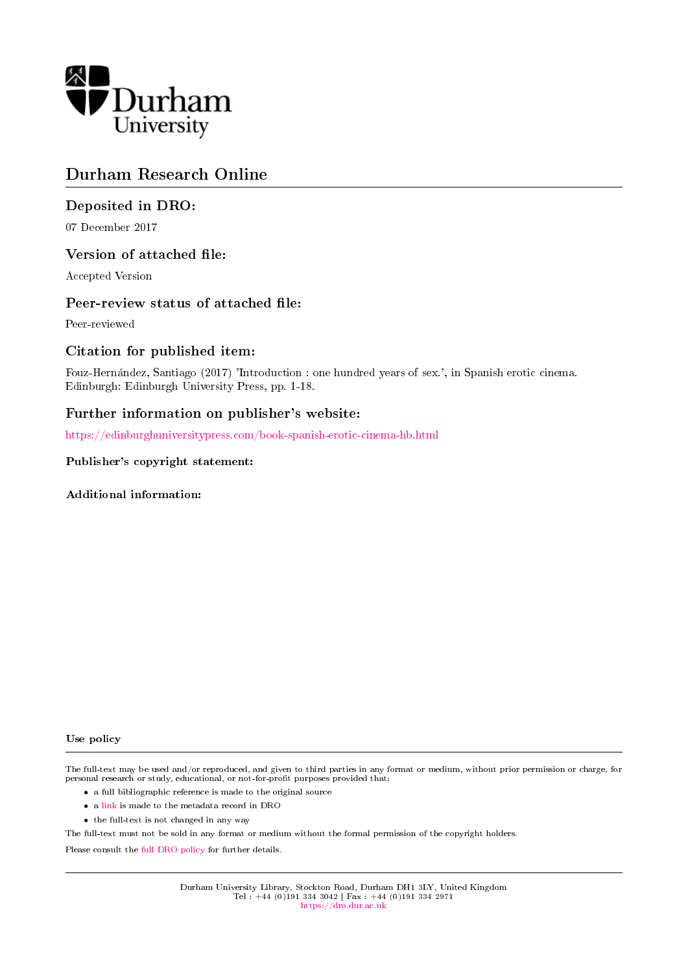

## Durham Research Online

## Deposited in DRO:

07 December 2017

## Version of attached file:

Accepted Version

## Peer-review status of attached file:

Peer-reviewed

## Citation for published item:

Fouz-Hernandez, Santiago (2017) 'Introduction : one hundred years of sex.', in Spanish erotic cinema. Edinburgh: Edinburgh University Press, pp. 1-18.

## Further information on publisher's website:

<https://edinburghuniversitypress.com/book-spanish-erotic-cinema-hb.html>

#### Publisher's copyright statement:

Additional information:

#### Use policy

The full-text may be used and/or reproduced, and given to third parties in any format or medium, without prior permission or charge, for personal research or study, educational, or not-for-profit purposes provided that:

- a full bibliographic reference is made to the original source
- a [link](http://dro.dur.ac.uk/23654/) is made to the metadata record in DRO
- the full-text is not changed in any way

The full-text must not be sold in any format or medium without the formal permission of the copyright holders.

Please consult the [full DRO policy](https://dro.dur.ac.uk/policies/usepolicy.pdf) for further details.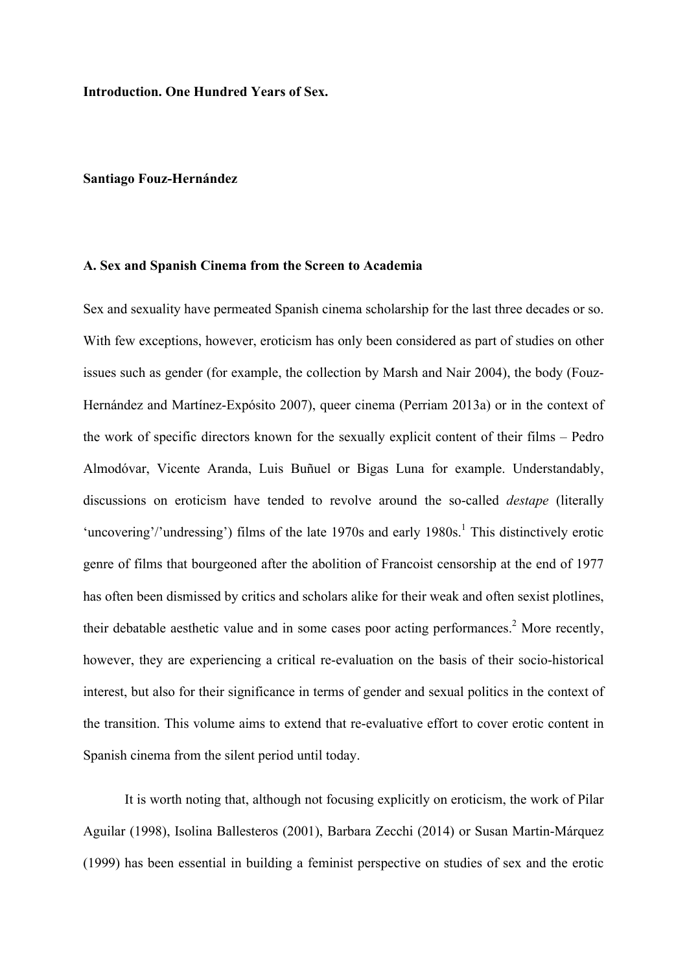**Introduction. One Hundred Years of Sex.**

#### **Santiago Fouz-Hernández**

#### **A. Sex and Spanish Cinema from the Screen to Academia**

Sex and sexuality have permeated Spanish cinema scholarship for the last three decades or so. With few exceptions, however, eroticism has only been considered as part of studies on other issues such as gender (for example, the collection by Marsh and Nair 2004), the body (Fouz-Hernández and Martínez-Expósito 2007), queer cinema (Perriam 2013a) or in the context of the work of specific directors known for the sexually explicit content of their films – Pedro Almodóvar, Vicente Aranda, Luis Buñuel or Bigas Luna for example. Understandably, discussions on eroticism have tended to revolve around the so-called *destape* (literally 'uncovering'/'undressing') films of the late  $1970s$  and early  $1980s$ .<sup>1</sup> This distinctively erotic genre of films that bourgeoned after the abolition of Francoist censorship at the end of 1977 has often been dismissed by critics and scholars alike for their weak and often sexist plotlines, their debatable aesthetic value and in some cases poor acting performances.<sup>2</sup> More recently, however, they are experiencing a critical re-evaluation on the basis of their socio-historical interest, but also for their significance in terms of gender and sexual politics in the context of the transition. This volume aims to extend that re-evaluative effort to cover erotic content in Spanish cinema from the silent period until today.

It is worth noting that, although not focusing explicitly on eroticism, the work of Pilar Aguilar (1998), Isolina Ballesteros (2001), Barbara Zecchi (2014) or Susan Martin-Márquez (1999) has been essential in building a feminist perspective on studies of sex and the erotic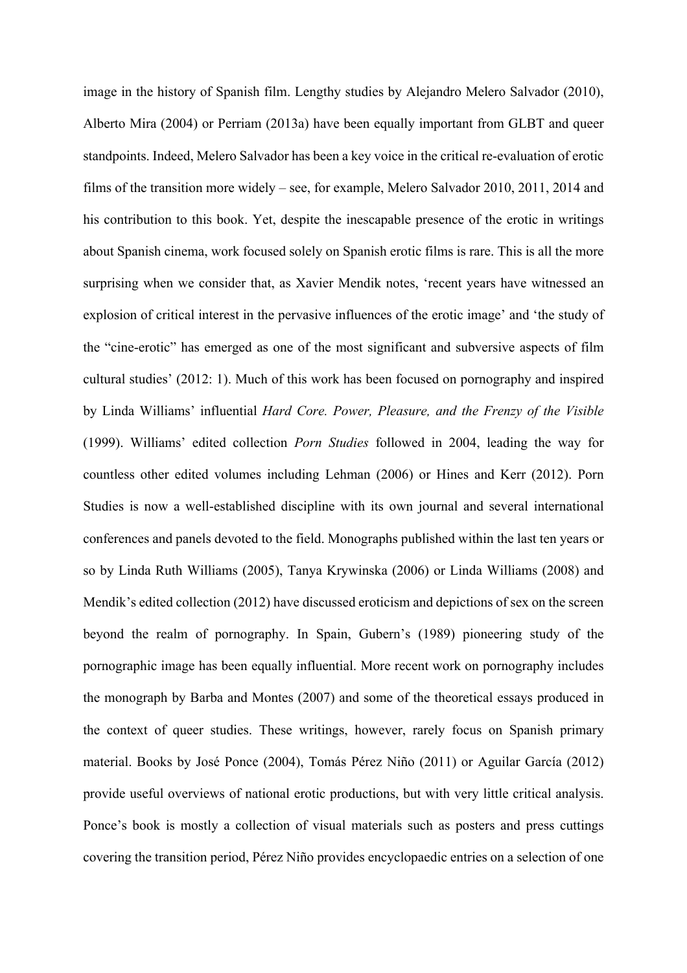image in the history of Spanish film. Lengthy studies by Alejandro Melero Salvador (2010), Alberto Mira (2004) or Perriam (2013a) have been equally important from GLBT and queer standpoints. Indeed, Melero Salvador has been a key voice in the critical re-evaluation of erotic films of the transition more widely – see, for example, Melero Salvador 2010, 2011, 2014 and his contribution to this book. Yet, despite the inescapable presence of the erotic in writings about Spanish cinema, work focused solely on Spanish erotic films is rare. This is all the more surprising when we consider that, as Xavier Mendik notes, 'recent years have witnessed an explosion of critical interest in the pervasive influences of the erotic image' and 'the study of the "cine-erotic" has emerged as one of the most significant and subversive aspects of film cultural studies' (2012: 1). Much of this work has been focused on pornography and inspired by Linda Williams' influential *Hard Core. Power, Pleasure, and the Frenzy of the Visible*  (1999). Williams' edited collection *Porn Studies* followed in 2004, leading the way for countless other edited volumes including Lehman (2006) or Hines and Kerr (2012). Porn Studies is now a well-established discipline with its own journal and several international conferences and panels devoted to the field. Monographs published within the last ten years or so by Linda Ruth Williams (2005), Tanya Krywinska (2006) or Linda Williams (2008) and Mendik's edited collection (2012) have discussed eroticism and depictions of sex on the screen beyond the realm of pornography. In Spain, Gubern's (1989) pioneering study of the pornographic image has been equally influential. More recent work on pornography includes the monograph by Barba and Montes (2007) and some of the theoretical essays produced in the context of queer studies. These writings, however, rarely focus on Spanish primary material. Books by José Ponce (2004), Tomás Pérez Niño (2011) or Aguilar García (2012) provide useful overviews of national erotic productions, but with very little critical analysis. Ponce's book is mostly a collection of visual materials such as posters and press cuttings covering the transition period, Pérez Niño provides encyclopaedic entries on a selection of one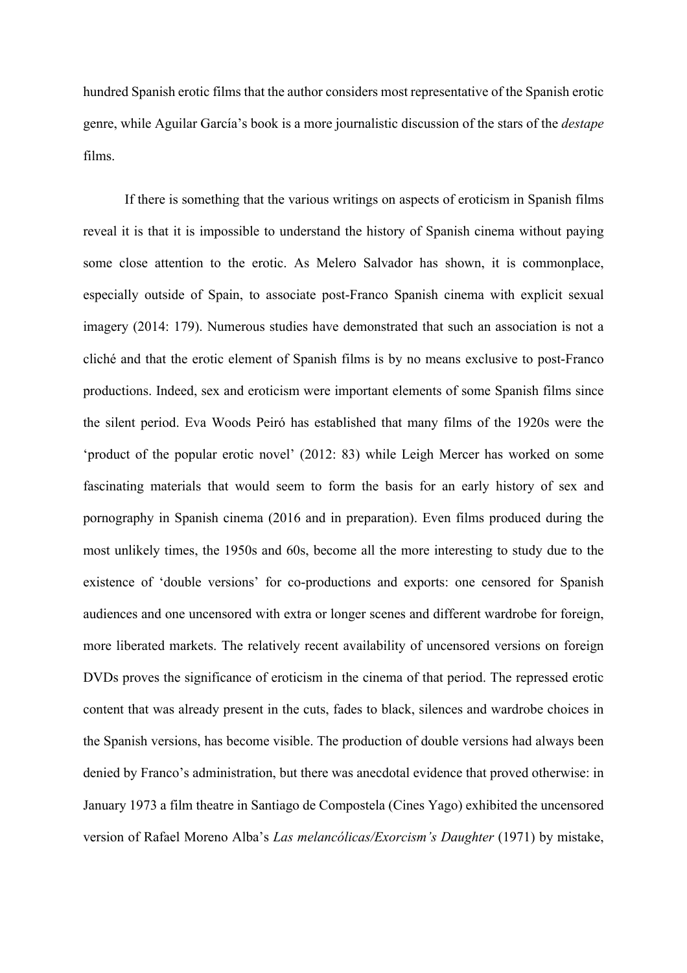hundred Spanish erotic films that the author considers most representative of the Spanish erotic genre, while Aguilar García's book is a more journalistic discussion of the stars of the *destape* films.

If there is something that the various writings on aspects of eroticism in Spanish films reveal it is that it is impossible to understand the history of Spanish cinema without paying some close attention to the erotic. As Melero Salvador has shown, it is commonplace, especially outside of Spain, to associate post-Franco Spanish cinema with explicit sexual imagery (2014: 179). Numerous studies have demonstrated that such an association is not a cliché and that the erotic element of Spanish films is by no means exclusive to post-Franco productions. Indeed, sex and eroticism were important elements of some Spanish films since the silent period. Eva Woods Peiró has established that many films of the 1920s were the 'product of the popular erotic novel' (2012: 83) while Leigh Mercer has worked on some fascinating materials that would seem to form the basis for an early history of sex and pornography in Spanish cinema (2016 and in preparation). Even films produced during the most unlikely times, the 1950s and 60s, become all the more interesting to study due to the existence of 'double versions' for co-productions and exports: one censored for Spanish audiences and one uncensored with extra or longer scenes and different wardrobe for foreign, more liberated markets. The relatively recent availability of uncensored versions on foreign DVDs proves the significance of eroticism in the cinema of that period. The repressed erotic content that was already present in the cuts, fades to black, silences and wardrobe choices in the Spanish versions, has become visible. The production of double versions had always been denied by Franco's administration, but there was anecdotal evidence that proved otherwise: in January 1973 a film theatre in Santiago de Compostela (Cines Yago) exhibited the uncensored version of Rafael Moreno Alba's *Las melancólicas/Exorcism's Daughter* (1971) by mistake,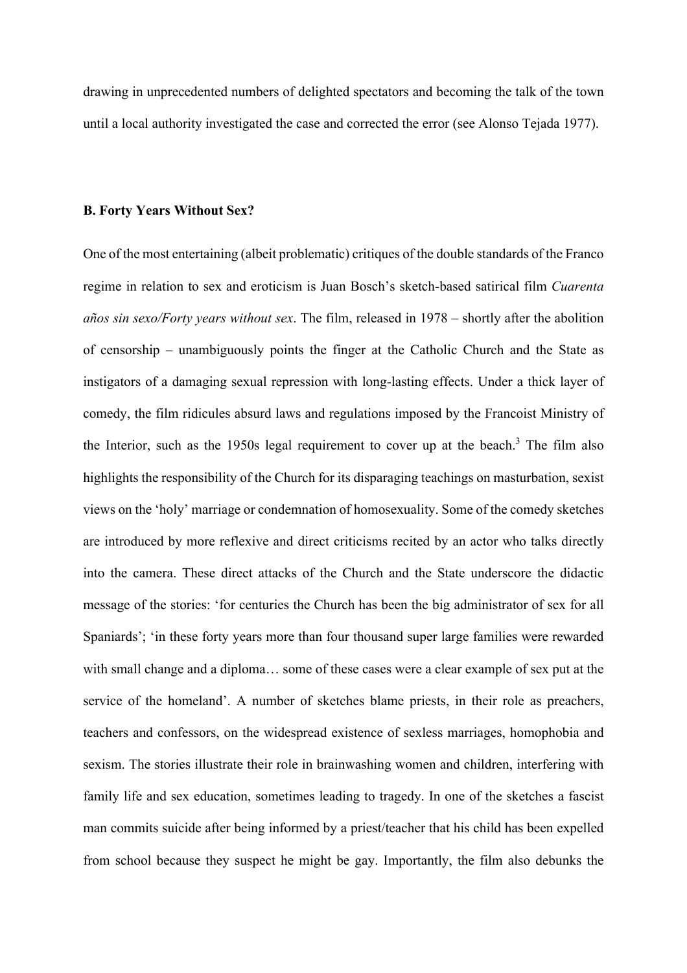drawing in unprecedented numbers of delighted spectators and becoming the talk of the town until a local authority investigated the case and corrected the error (see Alonso Tejada 1977).

### **B. Forty Years Without Sex?**

One of the most entertaining (albeit problematic) critiques of the double standards of the Franco regime in relation to sex and eroticism is Juan Bosch's sketch-based satirical film *Cuarenta años sin sexo/Forty years without sex*. The film, released in 1978 – shortly after the abolition of censorship – unambiguously points the finger at the Catholic Church and the State as instigators of a damaging sexual repression with long-lasting effects. Under a thick layer of comedy, the film ridicules absurd laws and regulations imposed by the Francoist Ministry of the Interior, such as the 1950s legal requirement to cover up at the beach.<sup>3</sup> The film also highlights the responsibility of the Church for its disparaging teachings on masturbation, sexist views on the 'holy' marriage or condemnation of homosexuality. Some of the comedy sketches are introduced by more reflexive and direct criticisms recited by an actor who talks directly into the camera. These direct attacks of the Church and the State underscore the didactic message of the stories: 'for centuries the Church has been the big administrator of sex for all Spaniards'; 'in these forty years more than four thousand super large families were rewarded with small change and a diploma… some of these cases were a clear example of sex put at the service of the homeland'. A number of sketches blame priests, in their role as preachers, teachers and confessors, on the widespread existence of sexless marriages, homophobia and sexism. The stories illustrate their role in brainwashing women and children, interfering with family life and sex education, sometimes leading to tragedy. In one of the sketches a fascist man commits suicide after being informed by a priest/teacher that his child has been expelled from school because they suspect he might be gay. Importantly, the film also debunks the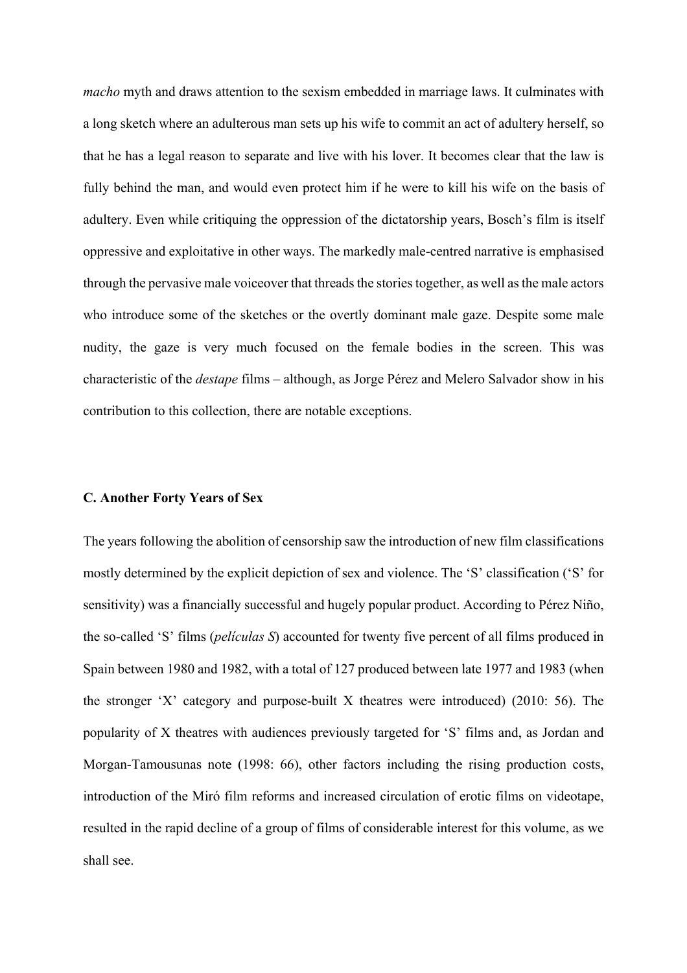*macho* myth and draws attention to the sexism embedded in marriage laws. It culminates with a long sketch where an adulterous man sets up his wife to commit an act of adultery herself, so that he has a legal reason to separate and live with his lover. It becomes clear that the law is fully behind the man, and would even protect him if he were to kill his wife on the basis of adultery. Even while critiquing the oppression of the dictatorship years, Bosch's film is itself oppressive and exploitative in other ways. The markedly male-centred narrative is emphasised through the pervasive male voiceover that threads the stories together, as well as the male actors who introduce some of the sketches or the overtly dominant male gaze. Despite some male nudity, the gaze is very much focused on the female bodies in the screen. This was characteristic of the *destape* films – although, as Jorge Pérez and Melero Salvador show in his contribution to this collection, there are notable exceptions.

#### **C. Another Forty Years of Sex**

The years following the abolition of censorship saw the introduction of new film classifications mostly determined by the explicit depiction of sex and violence. The 'S' classification ('S' for sensitivity) was a financially successful and hugely popular product. According to Pérez Niño, the so-called 'S' films (*películas S*) accounted for twenty five percent of all films produced in Spain between 1980 and 1982, with a total of 127 produced between late 1977 and 1983 (when the stronger 'X' category and purpose-built X theatres were introduced) (2010: 56). The popularity of X theatres with audiences previously targeted for 'S' films and, as Jordan and Morgan-Tamousunas note (1998: 66), other factors including the rising production costs, introduction of the Miró film reforms and increased circulation of erotic films on videotape, resulted in the rapid decline of a group of films of considerable interest for this volume, as we shall see.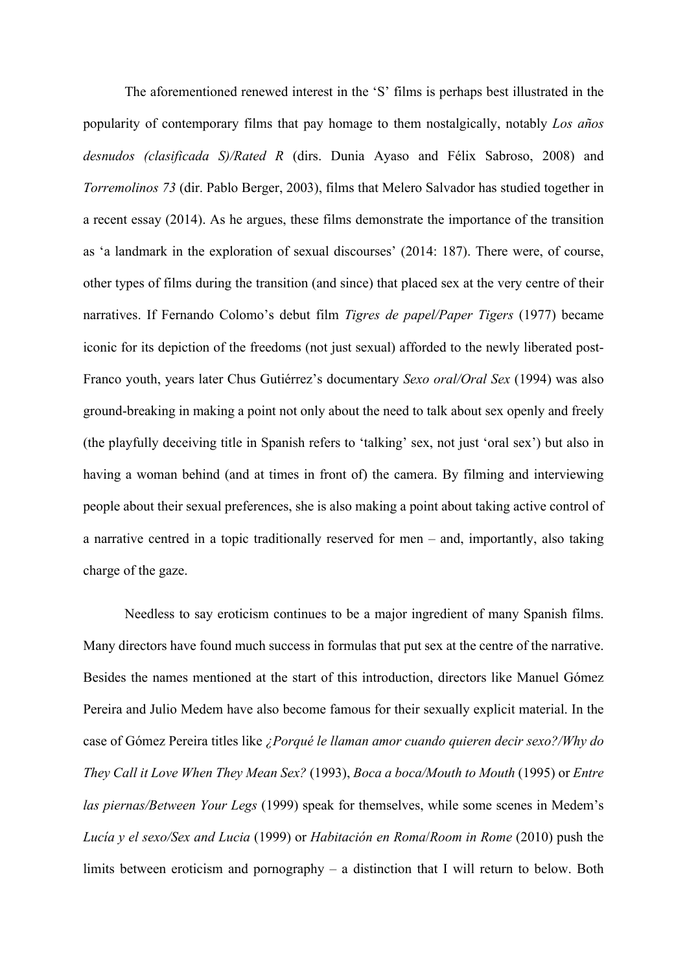The aforementioned renewed interest in the 'S' films is perhaps best illustrated in the popularity of contemporary films that pay homage to them nostalgically, notably *Los años desnudos (clasificada S)/Rated R* (dirs. Dunia Ayaso and Félix Sabroso, 2008) and *Torremolinos 73* (dir. Pablo Berger, 2003), films that Melero Salvador has studied together in a recent essay (2014). As he argues, these films demonstrate the importance of the transition as 'a landmark in the exploration of sexual discourses' (2014: 187). There were, of course, other types of films during the transition (and since) that placed sex at the very centre of their narratives. If Fernando Colomo's debut film *Tigres de papel/Paper Tigers* (1977) became iconic for its depiction of the freedoms (not just sexual) afforded to the newly liberated post-Franco youth, years later Chus Gutiérrez's documentary *Sexo oral/Oral Sex* (1994) was also ground-breaking in making a point not only about the need to talk about sex openly and freely (the playfully deceiving title in Spanish refers to 'talking' sex, not just 'oral sex') but also in having a woman behind (and at times in front of) the camera. By filming and interviewing people about their sexual preferences, she is also making a point about taking active control of a narrative centred in a topic traditionally reserved for men – and, importantly, also taking charge of the gaze.

Needless to say eroticism continues to be a major ingredient of many Spanish films. Many directors have found much success in formulas that put sex at the centre of the narrative. Besides the names mentioned at the start of this introduction, directors like Manuel Gómez Pereira and Julio Medem have also become famous for their sexually explicit material. In the case of Gómez Pereira titles like *¿Porqué le llaman amor cuando quieren decir sexo?/Why do They Call it Love When They Mean Sex?* (1993), *Boca a boca/Mouth to Mouth* (1995) or *Entre las piernas/Between Your Legs* (1999) speak for themselves, while some scenes in Medem's *Lucía y el sexo/Sex and Lucia* (1999) or *Habitación en Roma*/*Room in Rome* (2010) push the limits between eroticism and pornography – a distinction that I will return to below. Both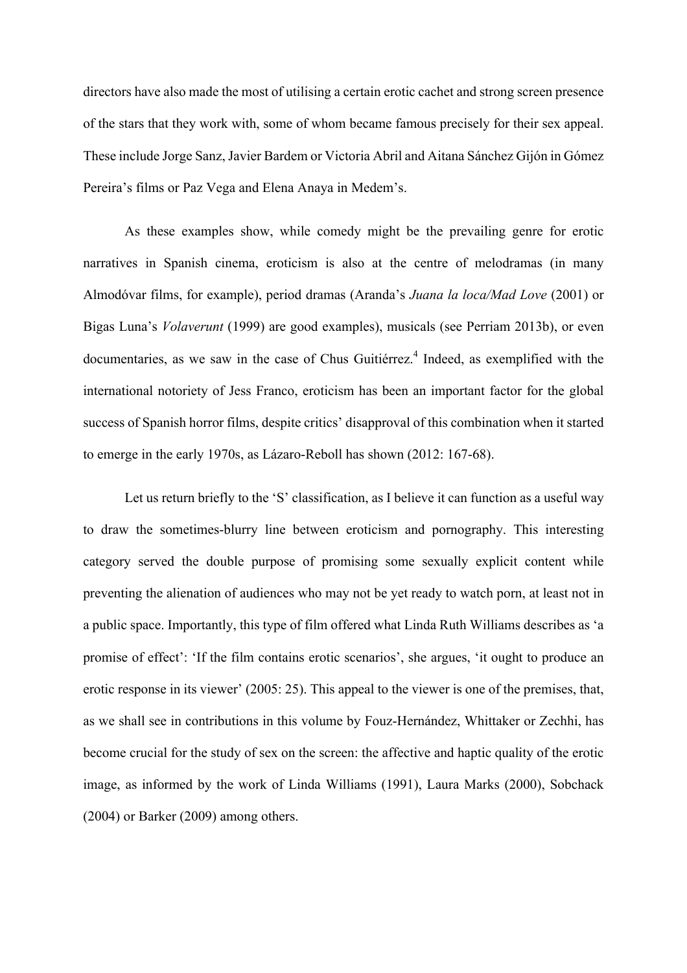directors have also made the most of utilising a certain erotic cachet and strong screen presence of the stars that they work with, some of whom became famous precisely for their sex appeal. These include Jorge Sanz, Javier Bardem or Victoria Abril and Aitana Sánchez Gijón in Gómez Pereira's films or Paz Vega and Elena Anaya in Medem's.

As these examples show, while comedy might be the prevailing genre for erotic narratives in Spanish cinema, eroticism is also at the centre of melodramas (in many Almodóvar films, for example), period dramas (Aranda's *Juana la loca/Mad Love* (2001) or Bigas Luna's *Volaverunt* (1999) are good examples), musicals (see Perriam 2013b), or even documentaries, as we saw in the case of Chus Guitiérrez.<sup>4</sup> Indeed, as exemplified with the international notoriety of Jess Franco, eroticism has been an important factor for the global success of Spanish horror films, despite critics' disapproval of this combination when it started to emerge in the early 1970s, as Lázaro-Reboll has shown (2012: 167-68).

Let us return briefly to the 'S' classification, as I believe it can function as a useful way to draw the sometimes-blurry line between eroticism and pornography. This interesting category served the double purpose of promising some sexually explicit content while preventing the alienation of audiences who may not be yet ready to watch porn, at least not in a public space. Importantly, this type of film offered what Linda Ruth Williams describes as 'a promise of effect': 'If the film contains erotic scenarios', she argues, 'it ought to produce an erotic response in its viewer' (2005: 25). This appeal to the viewer is one of the premises, that, as we shall see in contributions in this volume by Fouz-Hernández, Whittaker or Zechhi, has become crucial for the study of sex on the screen: the affective and haptic quality of the erotic image, as informed by the work of Linda Williams (1991), Laura Marks (2000), Sobchack (2004) or Barker (2009) among others.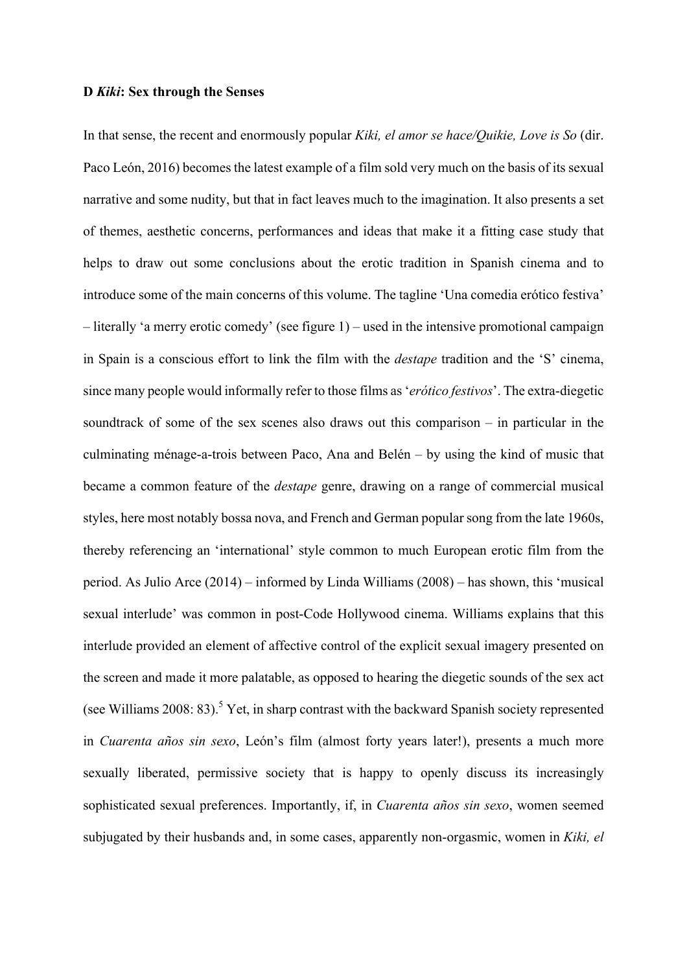#### **D** *Kiki***: Sex through the Senses**

In that sense, the recent and enormously popular *Kiki, el amor se hace/Quikie, Love is So* (dir. Paco León, 2016) becomes the latest example of a film sold very much on the basis of its sexual narrative and some nudity, but that in fact leaves much to the imagination. It also presents a set of themes, aesthetic concerns, performances and ideas that make it a fitting case study that helps to draw out some conclusions about the erotic tradition in Spanish cinema and to introduce some of the main concerns of this volume. The tagline 'Una comedia erótico festiva' – literally 'a merry erotic comedy' (see figure 1) – used in the intensive promotional campaign in Spain is a conscious effort to link the film with the *destape* tradition and the 'S' cinema, since many people would informally refer to those films as '*erótico festivos*'. The extra-diegetic soundtrack of some of the sex scenes also draws out this comparison – in particular in the culminating ménage-a-trois between Paco, Ana and Belén – by using the kind of music that became a common feature of the *destape* genre, drawing on a range of commercial musical styles, here most notably bossa nova, and French and German popular song from the late 1960s, thereby referencing an 'international' style common to much European erotic film from the period. As Julio Arce (2014) – informed by Linda Williams (2008) – has shown, this 'musical sexual interlude' was common in post-Code Hollywood cinema. Williams explains that this interlude provided an element of affective control of the explicit sexual imagery presented on the screen and made it more palatable, as opposed to hearing the diegetic sounds of the sex act (see Williams 2008: 83).<sup>5</sup> Yet, in sharp contrast with the backward Spanish society represented in *Cuarenta años sin sexo*, León's film (almost forty years later!), presents a much more sexually liberated, permissive society that is happy to openly discuss its increasingly sophisticated sexual preferences. Importantly, if, in *Cuarenta años sin sexo*, women seemed subjugated by their husbands and, in some cases, apparently non-orgasmic, women in *Kiki, el*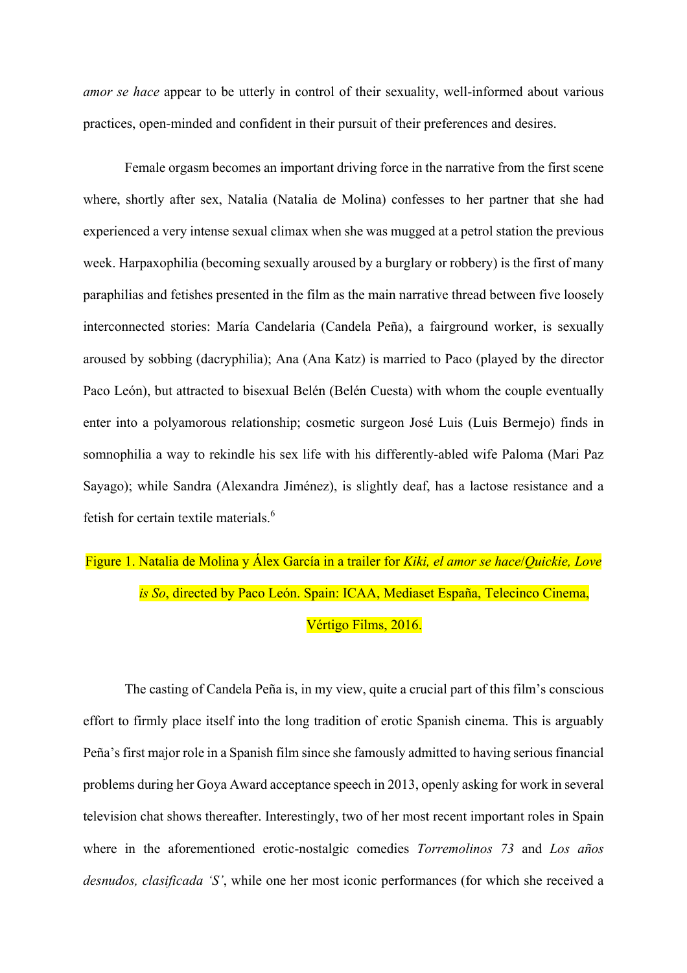*amor se hace* appear to be utterly in control of their sexuality, well-informed about various practices, open-minded and confident in their pursuit of their preferences and desires.

Female orgasm becomes an important driving force in the narrative from the first scene where, shortly after sex, Natalia (Natalia de Molina) confesses to her partner that she had experienced a very intense sexual climax when she was mugged at a petrol station the previous week. Harpaxophilia (becoming sexually aroused by a burglary or robbery) is the first of many paraphilias and fetishes presented in the film as the main narrative thread between five loosely interconnected stories: María Candelaria (Candela Peña), a fairground worker, is sexually aroused by sobbing (dacryphilia); Ana (Ana Katz) is married to Paco (played by the director Paco León), but attracted to bisexual Belén (Belén Cuesta) with whom the couple eventually enter into a polyamorous relationship; cosmetic surgeon José Luis (Luis Bermejo) finds in somnophilia a way to rekindle his sex life with his differently-abled wife Paloma (Mari Paz Sayago); while Sandra (Alexandra Jiménez), is slightly deaf, has a lactose resistance and a fetish for certain textile materials.6

# Figure 1. Natalia de Molina y Álex García in a trailer for *Kiki, el amor se hace*/*Quickie, Love is So*, directed by Paco León. Spain: ICAA, Mediaset España, Telecinco Cinema, Vértigo Films, 2016.

The casting of Candela Peña is, in my view, quite a crucial part of this film's conscious effort to firmly place itself into the long tradition of erotic Spanish cinema. This is arguably Peña's first major role in a Spanish film since she famously admitted to having serious financial problems during her Goya Award acceptance speech in 2013, openly asking for work in several television chat shows thereafter. Interestingly, two of her most recent important roles in Spain where in the aforementioned erotic-nostalgic comedies *Torremolinos 73* and *Los años desnudos, clasificada 'S'*, while one her most iconic performances (for which she received a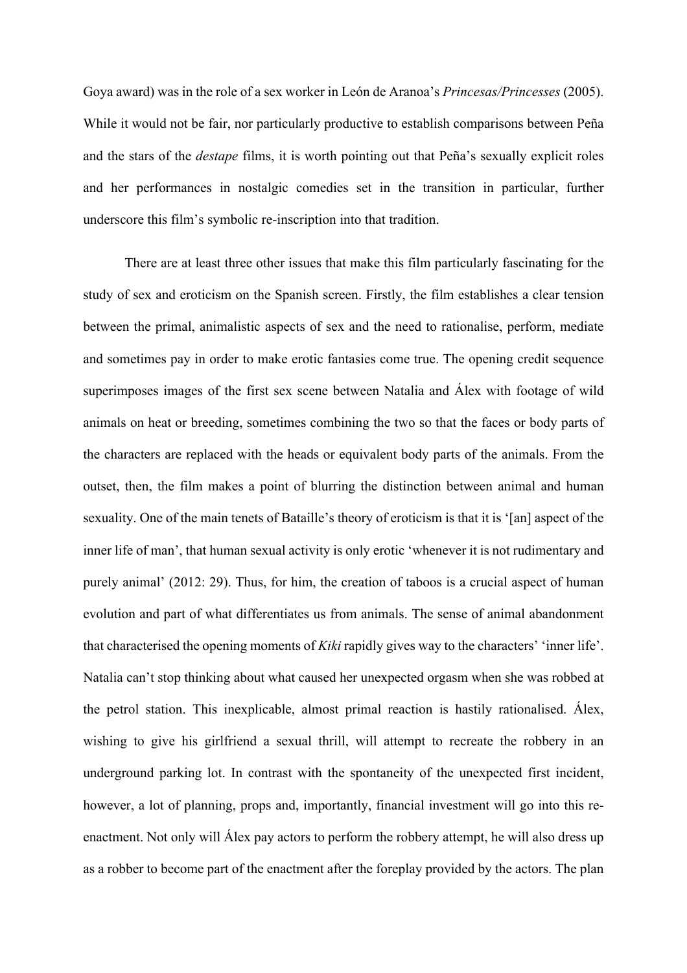Goya award) was in the role of a sex worker in León de Aranoa's *Princesas/Princesses* (2005). While it would not be fair, nor particularly productive to establish comparisons between Peña and the stars of the *destape* films, it is worth pointing out that Peña's sexually explicit roles and her performances in nostalgic comedies set in the transition in particular, further underscore this film's symbolic re-inscription into that tradition.

There are at least three other issues that make this film particularly fascinating for the study of sex and eroticism on the Spanish screen. Firstly, the film establishes a clear tension between the primal, animalistic aspects of sex and the need to rationalise, perform, mediate and sometimes pay in order to make erotic fantasies come true. The opening credit sequence superimposes images of the first sex scene between Natalia and Álex with footage of wild animals on heat or breeding, sometimes combining the two so that the faces or body parts of the characters are replaced with the heads or equivalent body parts of the animals. From the outset, then, the film makes a point of blurring the distinction between animal and human sexuality. One of the main tenets of Bataille's theory of eroticism is that it is '[an] aspect of the inner life of man', that human sexual activity is only erotic 'whenever it is not rudimentary and purely animal' (2012: 29). Thus, for him, the creation of taboos is a crucial aspect of human evolution and part of what differentiates us from animals. The sense of animal abandonment that characterised the opening moments of *Kiki* rapidly gives way to the characters' 'inner life'. Natalia can't stop thinking about what caused her unexpected orgasm when she was robbed at the petrol station. This inexplicable, almost primal reaction is hastily rationalised. Álex, wishing to give his girlfriend a sexual thrill, will attempt to recreate the robbery in an underground parking lot. In contrast with the spontaneity of the unexpected first incident, however, a lot of planning, props and, importantly, financial investment will go into this reenactment. Not only will Álex pay actors to perform the robbery attempt, he will also dress up as a robber to become part of the enactment after the foreplay provided by the actors. The plan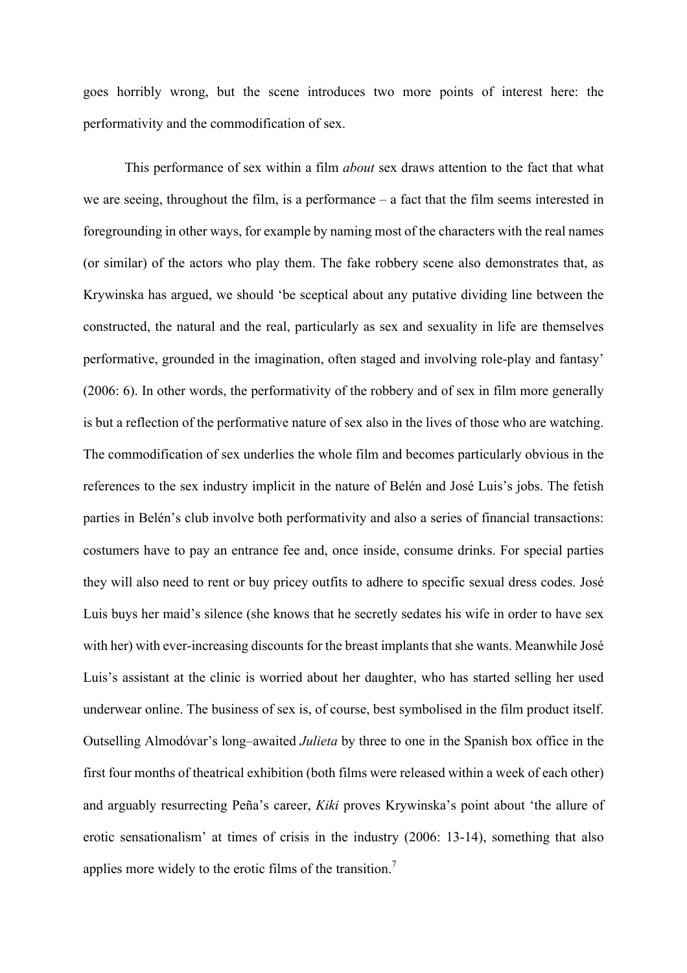goes horribly wrong, but the scene introduces two more points of interest here: the performativity and the commodification of sex.

This performance of sex within a film *about* sex draws attention to the fact that what we are seeing, throughout the film, is a performance – a fact that the film seems interested in foregrounding in other ways, for example by naming most of the characters with the real names (or similar) of the actors who play them. The fake robbery scene also demonstrates that, as Krywinska has argued, we should 'be sceptical about any putative dividing line between the constructed, the natural and the real, particularly as sex and sexuality in life are themselves performative, grounded in the imagination, often staged and involving role-play and fantasy' (2006: 6). In other words, the performativity of the robbery and of sex in film more generally is but a reflection of the performative nature of sex also in the lives of those who are watching. The commodification of sex underlies the whole film and becomes particularly obvious in the references to the sex industry implicit in the nature of Belén and José Luis's jobs. The fetish parties in Belén's club involve both performativity and also a series of financial transactions: costumers have to pay an entrance fee and, once inside, consume drinks. For special parties they will also need to rent or buy pricey outfits to adhere to specific sexual dress codes. José Luis buys her maid's silence (she knows that he secretly sedates his wife in order to have sex with her) with ever-increasing discounts for the breast implants that she wants. Meanwhile José Luis's assistant at the clinic is worried about her daughter, who has started selling her used underwear online. The business of sex is, of course, best symbolised in the film product itself. Outselling Almodóvar's long–awaited *Julieta* by three to one in the Spanish box office in the first four months of theatrical exhibition (both films were released within a week of each other) and arguably resurrecting Peña's career, *Kiki* proves Krywinska's point about 'the allure of erotic sensationalism' at times of crisis in the industry (2006: 13-14), something that also applies more widely to the erotic films of the transition.<sup>7</sup>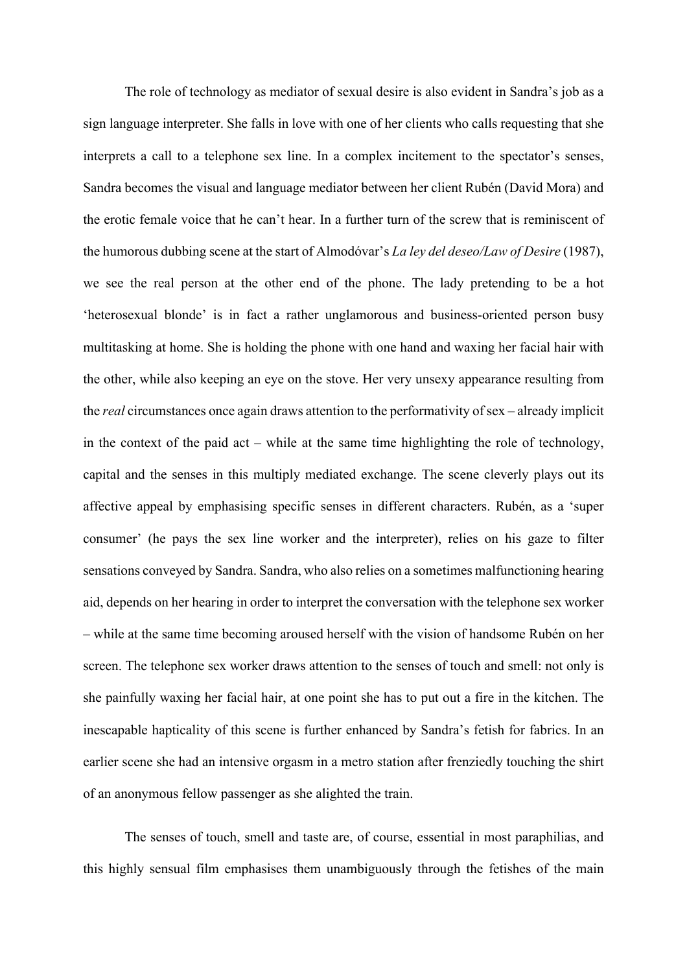The role of technology as mediator of sexual desire is also evident in Sandra's job as a sign language interpreter. She falls in love with one of her clients who calls requesting that she interprets a call to a telephone sex line. In a complex incitement to the spectator's senses, Sandra becomes the visual and language mediator between her client Rubén (David Mora) and the erotic female voice that he can't hear. In a further turn of the screw that is reminiscent of the humorous dubbing scene at the start of Almodóvar's *La ley del deseo/Law of Desire* (1987), we see the real person at the other end of the phone. The lady pretending to be a hot 'heterosexual blonde' is in fact a rather unglamorous and business-oriented person busy multitasking at home. She is holding the phone with one hand and waxing her facial hair with the other, while also keeping an eye on the stove. Her very unsexy appearance resulting from the *real* circumstances once again draws attention to the performativity of sex – already implicit in the context of the paid act – while at the same time highlighting the role of technology, capital and the senses in this multiply mediated exchange. The scene cleverly plays out its affective appeal by emphasising specific senses in different characters. Rubén, as a 'super consumer' (he pays the sex line worker and the interpreter), relies on his gaze to filter sensations conveyed by Sandra. Sandra, who also relies on a sometimes malfunctioning hearing aid, depends on her hearing in order to interpret the conversation with the telephone sex worker – while at the same time becoming aroused herself with the vision of handsome Rubén on her screen. The telephone sex worker draws attention to the senses of touch and smell: not only is she painfully waxing her facial hair, at one point she has to put out a fire in the kitchen. The inescapable hapticality of this scene is further enhanced by Sandra's fetish for fabrics. In an earlier scene she had an intensive orgasm in a metro station after frenziedly touching the shirt of an anonymous fellow passenger as she alighted the train.

The senses of touch, smell and taste are, of course, essential in most paraphilias, and this highly sensual film emphasises them unambiguously through the fetishes of the main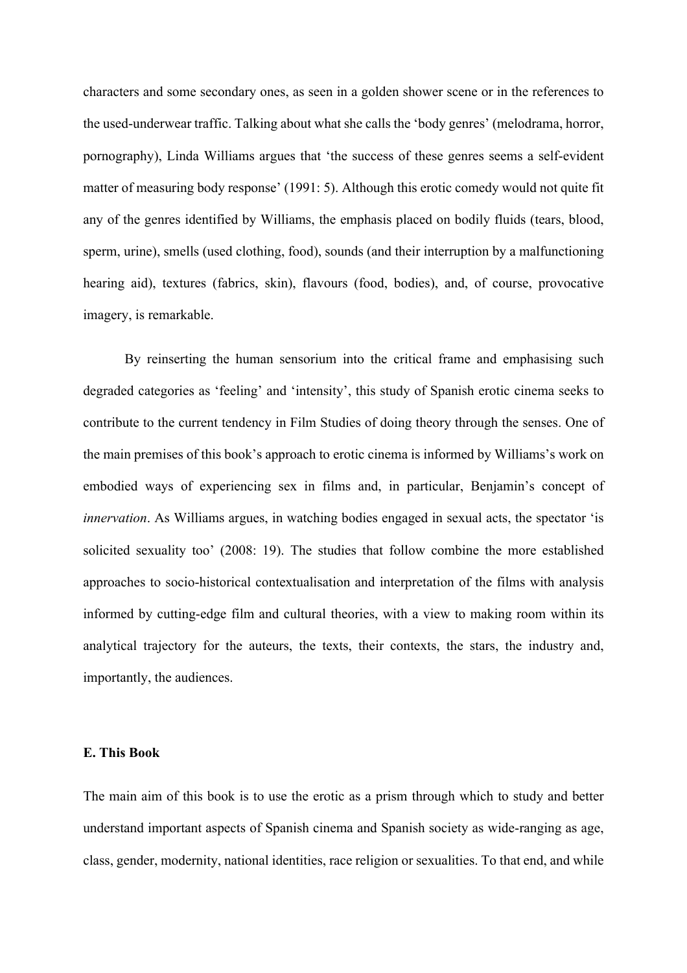characters and some secondary ones, as seen in a golden shower scene or in the references to the used-underwear traffic. Talking about what she calls the 'body genres' (melodrama, horror, pornography), Linda Williams argues that 'the success of these genres seems a self-evident matter of measuring body response' (1991: 5). Although this erotic comedy would not quite fit any of the genres identified by Williams, the emphasis placed on bodily fluids (tears, blood, sperm, urine), smells (used clothing, food), sounds (and their interruption by a malfunctioning hearing aid), textures (fabrics, skin), flavours (food, bodies), and, of course, provocative imagery, is remarkable.

By reinserting the human sensorium into the critical frame and emphasising such degraded categories as 'feeling' and 'intensity', this study of Spanish erotic cinema seeks to contribute to the current tendency in Film Studies of doing theory through the senses. One of the main premises of this book's approach to erotic cinema is informed by Williams's work on embodied ways of experiencing sex in films and, in particular, Benjamin's concept of *innervation*. As Williams argues, in watching bodies engaged in sexual acts, the spectator 'is solicited sexuality too' (2008: 19). The studies that follow combine the more established approaches to socio-historical contextualisation and interpretation of the films with analysis informed by cutting-edge film and cultural theories, with a view to making room within its analytical trajectory for the auteurs, the texts, their contexts, the stars, the industry and, importantly, the audiences.

#### **E. This Book**

The main aim of this book is to use the erotic as a prism through which to study and better understand important aspects of Spanish cinema and Spanish society as wide-ranging as age, class, gender, modernity, national identities, race religion or sexualities. To that end, and while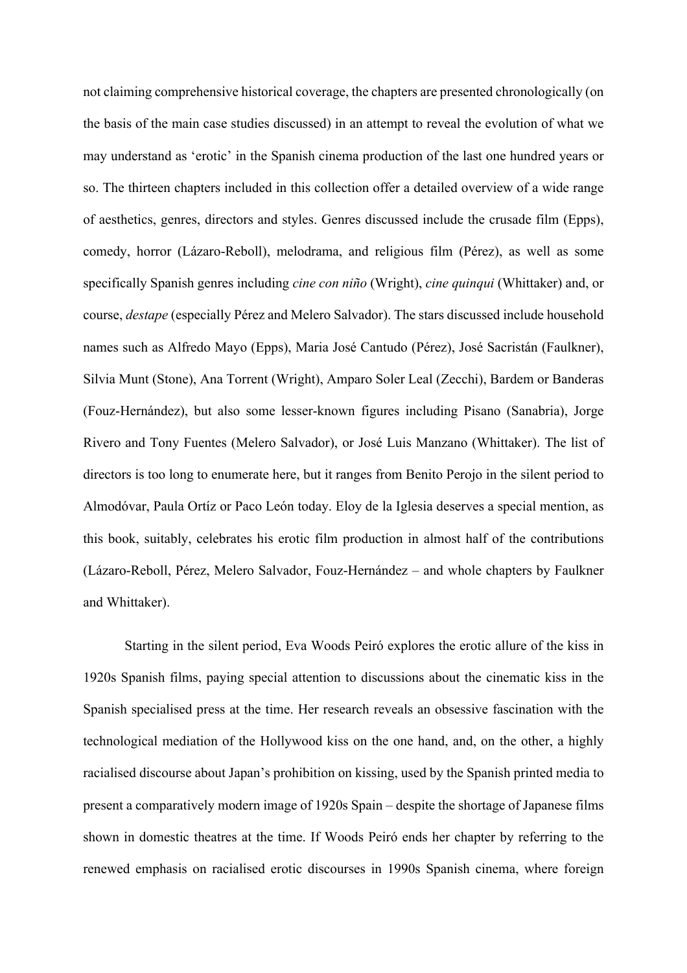not claiming comprehensive historical coverage, the chapters are presented chronologically (on the basis of the main case studies discussed) in an attempt to reveal the evolution of what we may understand as 'erotic' in the Spanish cinema production of the last one hundred years or so. The thirteen chapters included in this collection offer a detailed overview of a wide range of aesthetics, genres, directors and styles. Genres discussed include the crusade film (Epps), comedy, horror (Lázaro-Reboll), melodrama, and religious film (Pérez), as well as some specifically Spanish genres including *cine con niño* (Wright), *cine quinqui* (Whittaker) and, or course, *destape* (especially Pérez and Melero Salvador). The stars discussed include household names such as Alfredo Mayo (Epps), Maria José Cantudo (Pérez), José Sacristán (Faulkner), Silvia Munt (Stone), Ana Torrent (Wright), Amparo Soler Leal (Zecchi), Bardem or Banderas (Fouz-Hernández), but also some lesser-known figures including Pisano (Sanabria), Jorge Rivero and Tony Fuentes (Melero Salvador), or José Luis Manzano (Whittaker). The list of directors is too long to enumerate here, but it ranges from Benito Perojo in the silent period to Almodóvar, Paula Ortíz or Paco León today. Eloy de la Iglesia deserves a special mention, as this book, suitably, celebrates his erotic film production in almost half of the contributions (Lázaro-Reboll, Pérez, Melero Salvador, Fouz-Hernández – and whole chapters by Faulkner and Whittaker).

Starting in the silent period, Eva Woods Peiró explores the erotic allure of the kiss in 1920s Spanish films, paying special attention to discussions about the cinematic kiss in the Spanish specialised press at the time. Her research reveals an obsessive fascination with the technological mediation of the Hollywood kiss on the one hand, and, on the other, a highly racialised discourse about Japan's prohibition on kissing, used by the Spanish printed media to present a comparatively modern image of 1920s Spain – despite the shortage of Japanese films shown in domestic theatres at the time. If Woods Peiró ends her chapter by referring to the renewed emphasis on racialised erotic discourses in 1990s Spanish cinema, where foreign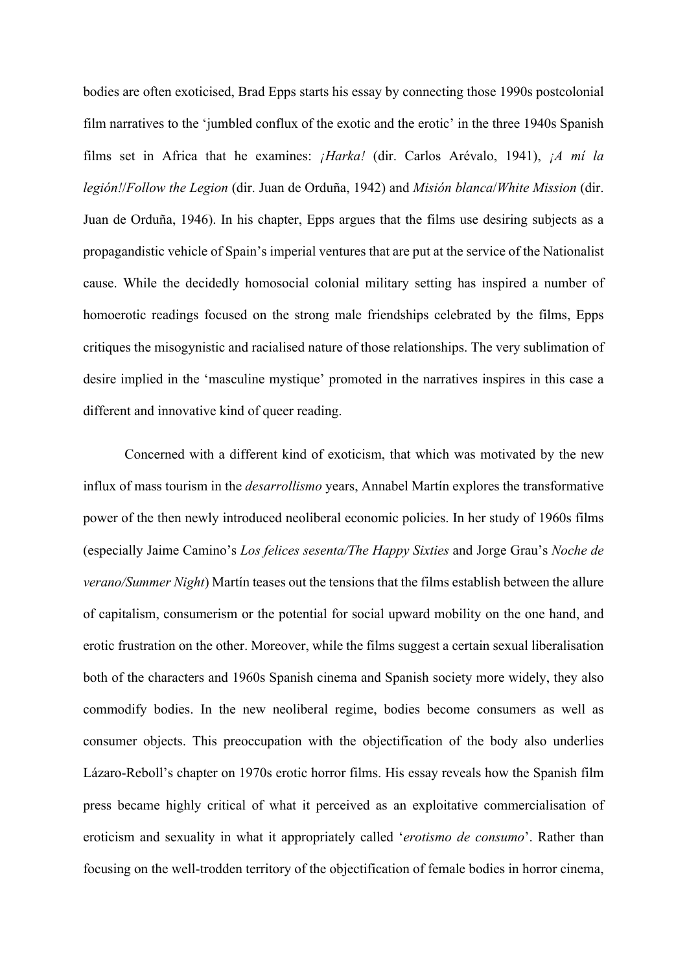bodies are often exoticised, Brad Epps starts his essay by connecting those 1990s postcolonial film narratives to the 'jumbled conflux of the exotic and the erotic' in the three 1940s Spanish films set in Africa that he examines: *¡Harka!* (dir. Carlos Arévalo, 1941), *¡A mí la legión!*/*Follow the Legion* (dir. Juan de Orduña, 1942) and *Misión blanca*/*White Mission* (dir. Juan de Orduña, 1946). In his chapter, Epps argues that the films use desiring subjects as a propagandistic vehicle of Spain's imperial ventures that are put at the service of the Nationalist cause. While the decidedly homosocial colonial military setting has inspired a number of homoerotic readings focused on the strong male friendships celebrated by the films, Epps critiques the misogynistic and racialised nature of those relationships. The very sublimation of desire implied in the 'masculine mystique' promoted in the narratives inspires in this case a different and innovative kind of queer reading.

Concerned with a different kind of exoticism, that which was motivated by the new influx of mass tourism in the *desarrollismo* years, Annabel Martín explores the transformative power of the then newly introduced neoliberal economic policies. In her study of 1960s films (especially Jaime Camino's *Los felices sesenta/The Happy Sixties* and Jorge Grau's *Noche de verano/Summer Night*) Martín teases out the tensions that the films establish between the allure of capitalism, consumerism or the potential for social upward mobility on the one hand, and erotic frustration on the other. Moreover, while the films suggest a certain sexual liberalisation both of the characters and 1960s Spanish cinema and Spanish society more widely, they also commodify bodies. In the new neoliberal regime, bodies become consumers as well as consumer objects. This preoccupation with the objectification of the body also underlies Lázaro-Reboll's chapter on 1970s erotic horror films. His essay reveals how the Spanish film press became highly critical of what it perceived as an exploitative commercialisation of eroticism and sexuality in what it appropriately called '*erotismo de consumo*'. Rather than focusing on the well-trodden territory of the objectification of female bodies in horror cinema,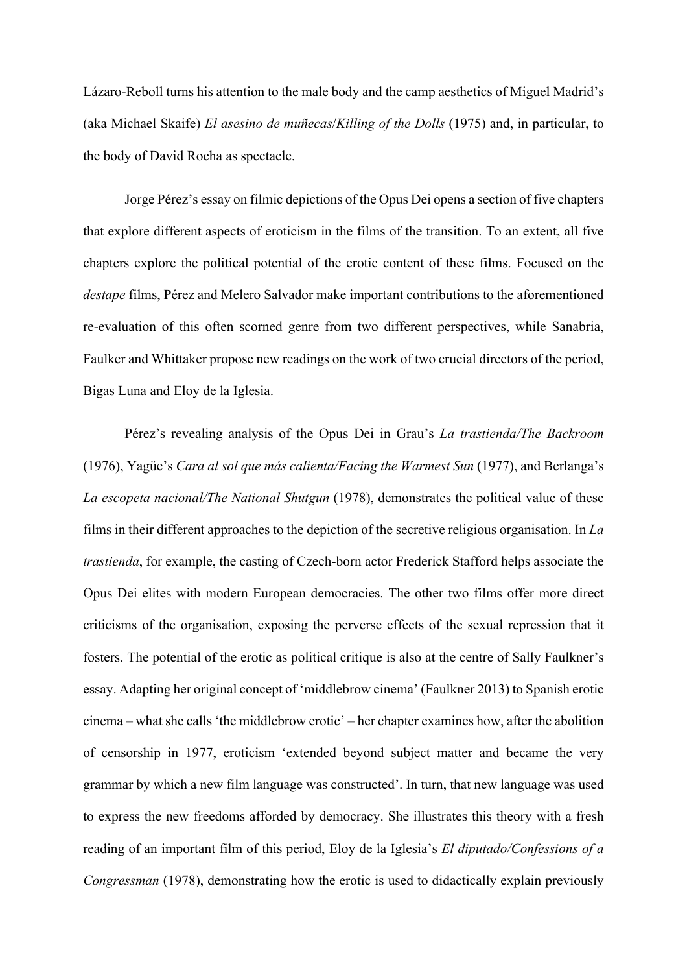Lázaro-Reboll turns his attention to the male body and the camp aesthetics of Miguel Madrid's (aka Michael Skaife) *El asesino de muñecas*/*Killing of the Dolls* (1975) and, in particular, to the body of David Rocha as spectacle.

Jorge Pérez's essay on filmic depictions of the Opus Dei opens a section of five chapters that explore different aspects of eroticism in the films of the transition. To an extent, all five chapters explore the political potential of the erotic content of these films. Focused on the *destape* films, Pérez and Melero Salvador make important contributions to the aforementioned re-evaluation of this often scorned genre from two different perspectives, while Sanabria, Faulker and Whittaker propose new readings on the work of two crucial directors of the period, Bigas Luna and Eloy de la Iglesia.

Pérez's revealing analysis of the Opus Dei in Grau's *La trastienda/The Backroom* (1976), Yagüe's *Cara al sol que más calienta/Facing the Warmest Sun* (1977), and Berlanga's *La escopeta nacional/The National Shutgun* (1978), demonstrates the political value of these films in their different approaches to the depiction of the secretive religious organisation. In *La trastienda*, for example, the casting of Czech-born actor Frederick Stafford helps associate the Opus Dei elites with modern European democracies. The other two films offer more direct criticisms of the organisation, exposing the perverse effects of the sexual repression that it fosters. The potential of the erotic as political critique is also at the centre of Sally Faulkner's essay. Adapting her original concept of 'middlebrow cinema' (Faulkner 2013) to Spanish erotic cinema – what she calls 'the middlebrow erotic' – her chapter examines how, after the abolition of censorship in 1977, eroticism 'extended beyond subject matter and became the very grammar by which a new film language was constructed'. In turn, that new language was used to express the new freedoms afforded by democracy. She illustrates this theory with a fresh reading of an important film of this period, Eloy de la Iglesia's *El diputado/Confessions of a Congressman* (1978), demonstrating how the erotic is used to didactically explain previously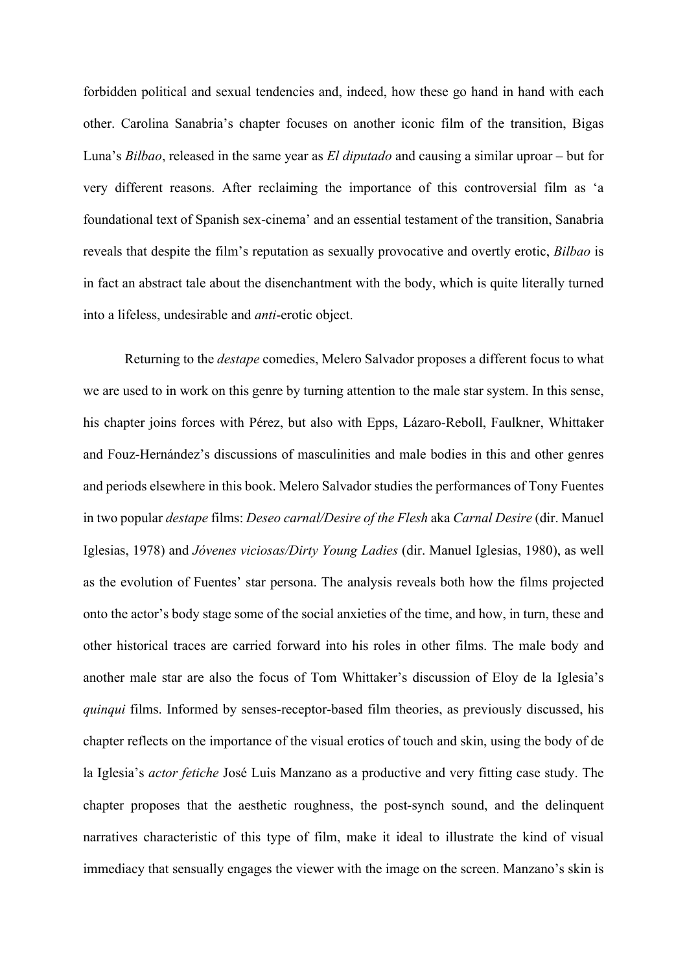forbidden political and sexual tendencies and, indeed, how these go hand in hand with each other. Carolina Sanabria's chapter focuses on another iconic film of the transition, Bigas Luna's *Bilbao*, released in the same year as *El diputado* and causing a similar uproar – but for very different reasons. After reclaiming the importance of this controversial film as 'a foundational text of Spanish sex-cinema' and an essential testament of the transition, Sanabria reveals that despite the film's reputation as sexually provocative and overtly erotic, *Bilbao* is in fact an abstract tale about the disenchantment with the body, which is quite literally turned into a lifeless, undesirable and *anti*-erotic object.

Returning to the *destape* comedies, Melero Salvador proposes a different focus to what we are used to in work on this genre by turning attention to the male star system. In this sense, his chapter joins forces with Pérez, but also with Epps, Lázaro-Reboll, Faulkner, Whittaker and Fouz-Hernández's discussions of masculinities and male bodies in this and other genres and periods elsewhere in this book. Melero Salvador studies the performances of Tony Fuentes in two popular *destape* films: *Deseo carnal/Desire of the Flesh* aka *Carnal Desire* (dir. Manuel Iglesias, 1978) and *Jóvenes viciosas/Dirty Young Ladies* (dir. Manuel Iglesias, 1980), as well as the evolution of Fuentes' star persona. The analysis reveals both how the films projected onto the actor's body stage some of the social anxieties of the time, and how, in turn, these and other historical traces are carried forward into his roles in other films. The male body and another male star are also the focus of Tom Whittaker's discussion of Eloy de la Iglesia's *quinqui* films. Informed by senses-receptor-based film theories, as previously discussed, his chapter reflects on the importance of the visual erotics of touch and skin, using the body of de la Iglesia's *actor fetiche* José Luis Manzano as a productive and very fitting case study. The chapter proposes that the aesthetic roughness, the post-synch sound, and the delinquent narratives characteristic of this type of film, make it ideal to illustrate the kind of visual immediacy that sensually engages the viewer with the image on the screen. Manzano's skin is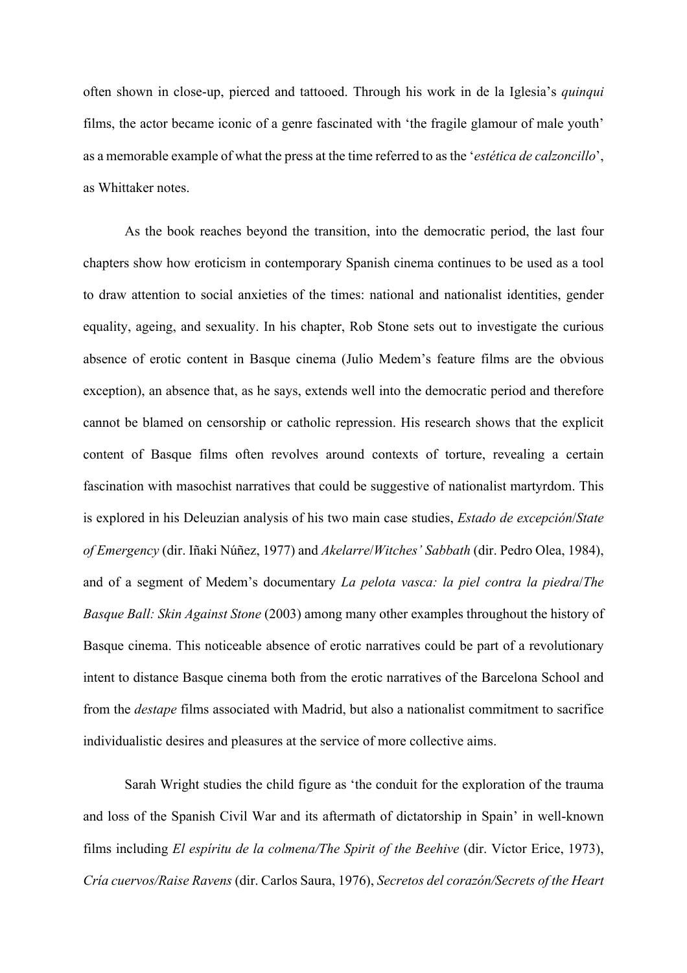often shown in close-up, pierced and tattooed. Through his work in de la Iglesia's *quinqui*  films, the actor became iconic of a genre fascinated with 'the fragile glamour of male youth' as a memorable example of what the press at the time referred to as the '*estética de calzoncillo*', as Whittaker notes.

As the book reaches beyond the transition, into the democratic period, the last four chapters show how eroticism in contemporary Spanish cinema continues to be used as a tool to draw attention to social anxieties of the times: national and nationalist identities, gender equality, ageing, and sexuality. In his chapter, Rob Stone sets out to investigate the curious absence of erotic content in Basque cinema (Julio Medem's feature films are the obvious exception), an absence that, as he says, extends well into the democratic period and therefore cannot be blamed on censorship or catholic repression. His research shows that the explicit content of Basque films often revolves around contexts of torture, revealing a certain fascination with masochist narratives that could be suggestive of nationalist martyrdom. This is explored in his Deleuzian analysis of his two main case studies, *Estado de excepción*/*State of Emergency* (dir. Iñaki Núñez, 1977) and *Akelarre*/*Witches' Sabbath* (dir. Pedro Olea, 1984), and of a segment of Medem's documentary *La pelota vasca: la piel contra la piedra*/*The Basque Ball: Skin Against Stone* (2003) among many other examples throughout the history of Basque cinema. This noticeable absence of erotic narratives could be part of a revolutionary intent to distance Basque cinema both from the erotic narratives of the Barcelona School and from the *destape* films associated with Madrid, but also a nationalist commitment to sacrifice individualistic desires and pleasures at the service of more collective aims.

Sarah Wright studies the child figure as 'the conduit for the exploration of the trauma and loss of the Spanish Civil War and its aftermath of dictatorship in Spain' in well-known films including *El espíritu de la colmena/The Spirit of the Beehive* (dir. Víctor Erice, 1973), *Cría cuervos/Raise Ravens* (dir. Carlos Saura, 1976), *Secretos del corazón/Secrets of the Heart*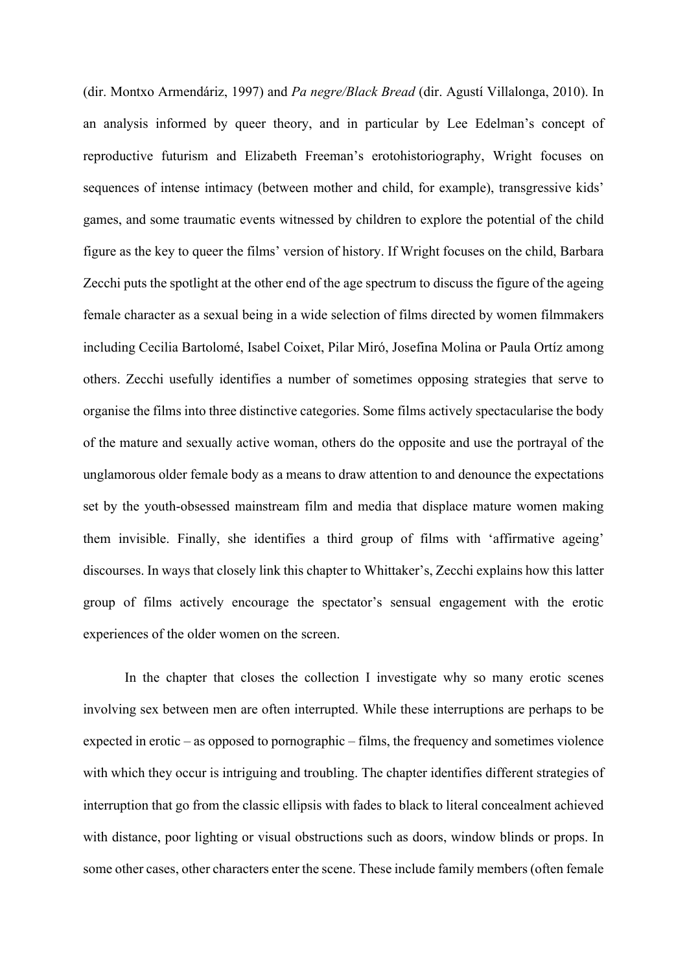(dir. Montxo Armendáriz, 1997) and *Pa negre/Black Bread* (dir. Agustí Villalonga, 2010). In an analysis informed by queer theory, and in particular by Lee Edelman's concept of reproductive futurism and Elizabeth Freeman's erotohistoriography, Wright focuses on sequences of intense intimacy (between mother and child, for example), transgressive kids' games, and some traumatic events witnessed by children to explore the potential of the child figure as the key to queer the films' version of history. If Wright focuses on the child, Barbara Zecchi puts the spotlight at the other end of the age spectrum to discuss the figure of the ageing female character as a sexual being in a wide selection of films directed by women filmmakers including Cecilia Bartolomé, Isabel Coixet, Pilar Miró, Josefina Molina or Paula Ortíz among others. Zecchi usefully identifies a number of sometimes opposing strategies that serve to organise the films into three distinctive categories. Some films actively spectacularise the body of the mature and sexually active woman, others do the opposite and use the portrayal of the unglamorous older female body as a means to draw attention to and denounce the expectations set by the youth-obsessed mainstream film and media that displace mature women making them invisible. Finally, she identifies a third group of films with 'affirmative ageing' discourses. In ways that closely link this chapter to Whittaker's, Zecchi explains how this latter group of films actively encourage the spectator's sensual engagement with the erotic experiences of the older women on the screen.

In the chapter that closes the collection I investigate why so many erotic scenes involving sex between men are often interrupted. While these interruptions are perhaps to be expected in erotic – as opposed to pornographic – films, the frequency and sometimes violence with which they occur is intriguing and troubling. The chapter identifies different strategies of interruption that go from the classic ellipsis with fades to black to literal concealment achieved with distance, poor lighting or visual obstructions such as doors, window blinds or props. In some other cases, other characters enter the scene. These include family members (often female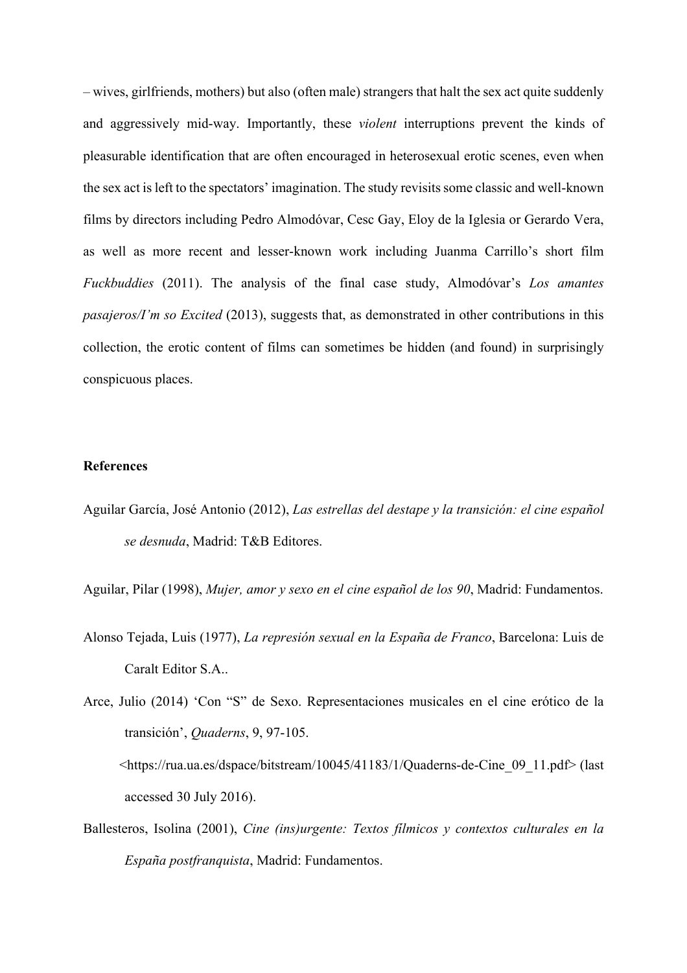– wives, girlfriends, mothers) but also (often male) strangers that halt the sex act quite suddenly and aggressively mid-way. Importantly, these *violent* interruptions prevent the kinds of pleasurable identification that are often encouraged in heterosexual erotic scenes, even when the sex act is left to the spectators' imagination. The study revisits some classic and well-known films by directors including Pedro Almodóvar, Cesc Gay, Eloy de la Iglesia or Gerardo Vera, as well as more recent and lesser-known work including Juanma Carrillo's short film *Fuckbuddies* (2011). The analysis of the final case study, Almodóvar's *Los amantes pasajeros/I'm so Excited* (2013), suggests that, as demonstrated in other contributions in this collection, the erotic content of films can sometimes be hidden (and found) in surprisingly conspicuous places.

## **References**

Aguilar García, José Antonio (2012), *Las estrellas del destape y la transición: el cine español se desnuda*, Madrid: T&B Editores.

Aguilar, Pilar (1998), *Mujer, amor y sexo en el cine español de los 90*, Madrid: Fundamentos.

Alonso Tejada, Luis (1977), *La represión sexual en la España de Franco*, Barcelona: Luis de Caralt Editor S.A..

Arce, Julio (2014) 'Con "S" de Sexo. Representaciones musicales en el cine erótico de la transición', *Quaderns*, 9, 97-105. <https://rua.ua.es/dspace/bitstream/10045/41183/1/Quaderns-de-Cine\_09\_11.pdf> (last accessed 30 July 2016).

Ballesteros, Isolina (2001), *Cine (ins)urgente: Textos fílmicos y contextos culturales en la España postfranquista*, Madrid: Fundamentos.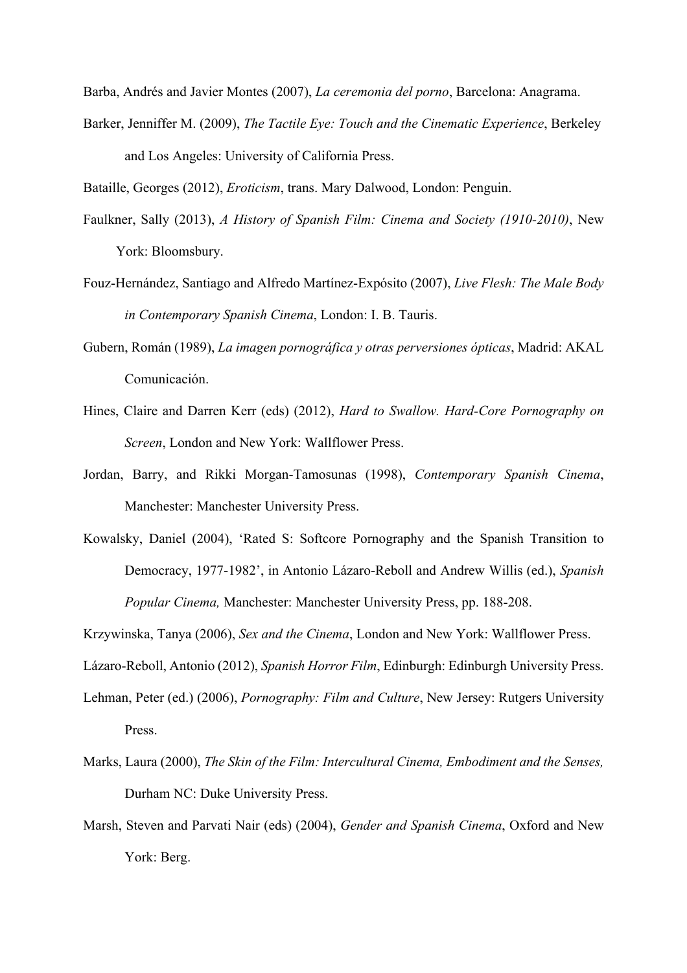Barba, Andrés and Javier Montes (2007), *La ceremonia del porno*, Barcelona: Anagrama.

Barker, Jenniffer M. (2009), *The Tactile Eye: Touch and the Cinematic Experience*, Berkeley and Los Angeles: University of California Press.

Bataille, Georges (2012), *Eroticism*, trans. Mary Dalwood, London: Penguin.

- Faulkner, Sally (2013), *A History of Spanish Film: Cinema and Society (1910-2010)*, New York: Bloomsbury.
- Fouz-Hernández, Santiago and Alfredo Martínez-Expósito (2007), *Live Flesh: The Male Body in Contemporary Spanish Cinema*, London: I. B. Tauris.
- Gubern, Román (1989), *La imagen pornográfica y otras perversiones ópticas*, Madrid: AKAL Comunicación.
- Hines, Claire and Darren Kerr (eds) (2012), *Hard to Swallow. Hard-Core Pornography on Screen*, London and New York: Wallflower Press.
- Jordan, Barry, and Rikki Morgan-Tamosunas (1998), *Contemporary Spanish Cinema*, Manchester: Manchester University Press.
- Kowalsky, Daniel (2004), 'Rated S: Softcore Pornography and the Spanish Transition to Democracy, 1977-1982', in Antonio Lázaro-Reboll and Andrew Willis (ed.), *Spanish Popular Cinema,* Manchester: Manchester University Press, pp. 188-208.

Krzywinska, Tanya (2006), *Sex and the Cinema*, London and New York: Wallflower Press.

Lázaro-Reboll, Antonio (2012), *Spanish Horror Film*, Edinburgh: Edinburgh University Press.

- Lehman, Peter (ed.) (2006), *Pornography: Film and Culture*, New Jersey: Rutgers University Press.
- Marks, Laura (2000), *The Skin of the Film: Intercultural Cinema, Embodiment and the Senses,*  Durham NC: Duke University Press.
- Marsh, Steven and Parvati Nair (eds) (2004), *Gender and Spanish Cinema*, Oxford and New York: Berg.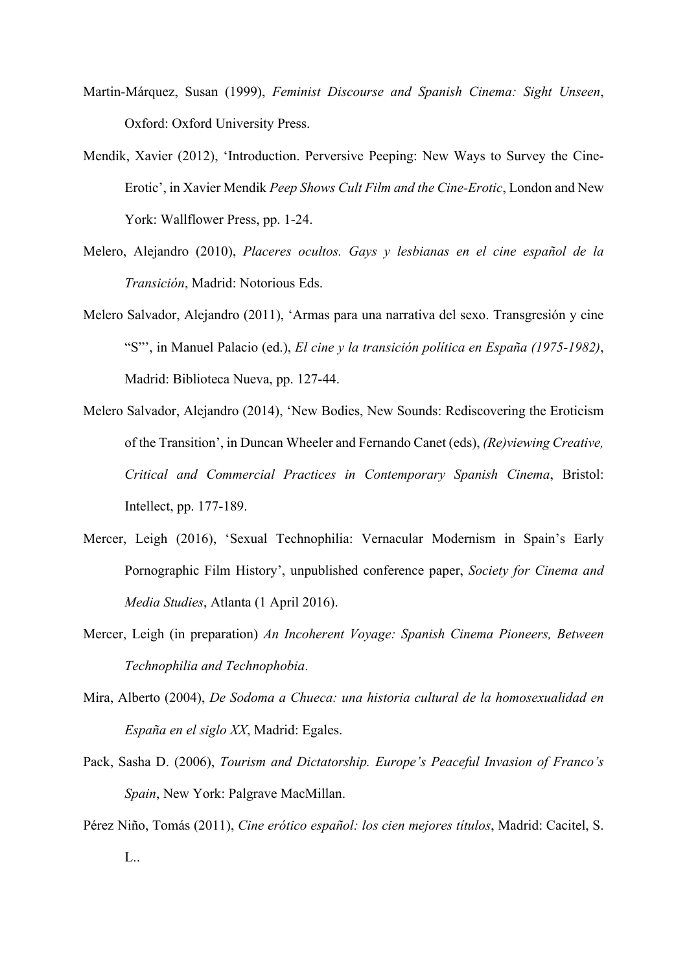- Martin-Márquez, Susan (1999), *Feminist Discourse and Spanish Cinema: Sight Unseen*, Oxford: Oxford University Press.
- Mendik, Xavier (2012), 'Introduction. Perversive Peeping: New Ways to Survey the Cine-Erotic', in Xavier Mendik *Peep Shows Cult Film and the Cine-Erotic*, London and New York: Wallflower Press, pp. 1-24.
- Melero, Alejandro (2010), *Placeres ocultos. Gays y lesbianas en el cine español de la Transición*, Madrid: Notorious Eds.
- Melero Salvador, Alejandro (2011), 'Armas para una narrativa del sexo. Transgresión y cine "S"', in Manuel Palacio (ed.), *El cine y la transición política en España (1975-1982)*, Madrid: Biblioteca Nueva, pp. 127-44.
- Melero Salvador, Alejandro (2014), 'New Bodies, New Sounds: Rediscovering the Eroticism of the Transition', in Duncan Wheeler and Fernando Canet (eds), *(Re)viewing Creative, Critical and Commercial Practices in Contemporary Spanish Cinema*, Bristol: Intellect, pp. 177-189.
- Mercer, Leigh (2016), 'Sexual Technophilia: Vernacular Modernism in Spain's Early Pornographic Film History', unpublished conference paper, *Society for Cinema and Media Studies*, Atlanta (1 April 2016).
- Mercer, Leigh (in preparation) *An Incoherent Voyage: Spanish Cinema Pioneers, Between Technophilia and Technophobia*.
- Mira, Alberto (2004), *De Sodoma a Chueca: una historia cultural de la homosexualidad en España en el siglo XX*, Madrid: Egales.
- Pack, Sasha D. (2006), *Tourism and Dictatorship. Europe's Peaceful Invasion of Franco's Spain*, New York: Palgrave MacMillan.
- Pérez Niño, Tomás (2011), *Cine erótico español: los cien mejores títulos*, Madrid: Cacitel, S. L..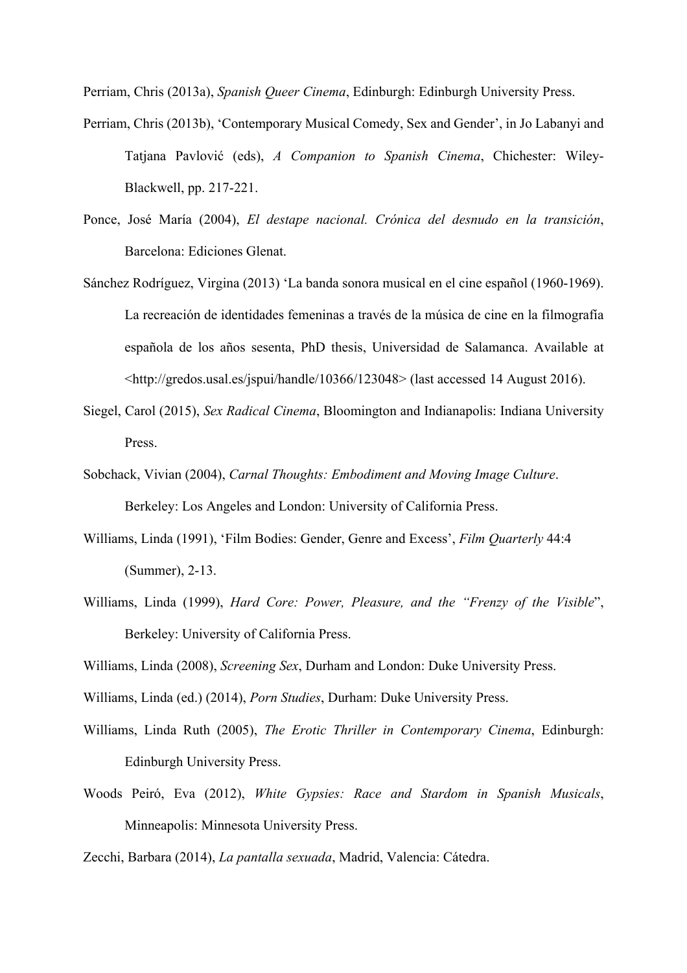Perriam, Chris (2013a), *Spanish Queer Cinema*, Edinburgh: Edinburgh University Press.

- Perriam, Chris (2013b), 'Contemporary Musical Comedy, Sex and Gender', in Jo Labanyi and Tatjana Pavlović (eds), *A Companion to Spanish Cinema*, Chichester: Wiley-Blackwell, pp. 217-221.
- Ponce, José María (2004), *El destape nacional. Crónica del desnudo en la transición*, Barcelona: Ediciones Glenat.
- Sánchez Rodríguez, Virgina (2013) 'La banda sonora musical en el cine español (1960-1969). La recreación de identidades femeninas a través de la música de cine en la filmografía española de los años sesenta, PhD thesis, Universidad de Salamanca. Available at <http://gredos.usal.es/jspui/handle/10366/123048> (last accessed 14 August 2016).
- Siegel, Carol (2015), *Sex Radical Cinema*, Bloomington and Indianapolis: Indiana University Press.
- Sobchack, Vivian (2004), *Carnal Thoughts: Embodiment and Moving Image Culture*. Berkeley: Los Angeles and London: University of California Press.
- Williams, Linda (1991), 'Film Bodies: Gender, Genre and Excess', *Film Quarterly* 44:4 (Summer), 2-13.
- Williams, Linda (1999), *Hard Core: Power, Pleasure, and the "Frenzy of the Visible*", Berkeley: University of California Press.
- Williams, Linda (2008), *Screening Sex*, Durham and London: Duke University Press.
- Williams, Linda (ed.) (2014), *Porn Studies*, Durham: Duke University Press.
- Williams, Linda Ruth (2005), *The Erotic Thriller in Contemporary Cinema*, Edinburgh: Edinburgh University Press.
- Woods Peiró, Eva (2012), *White Gypsies: Race and Stardom in Spanish Musicals*, Minneapolis: Minnesota University Press.

Zecchi, Barbara (2014), *La pantalla sexuada*, Madrid, Valencia: Cátedra.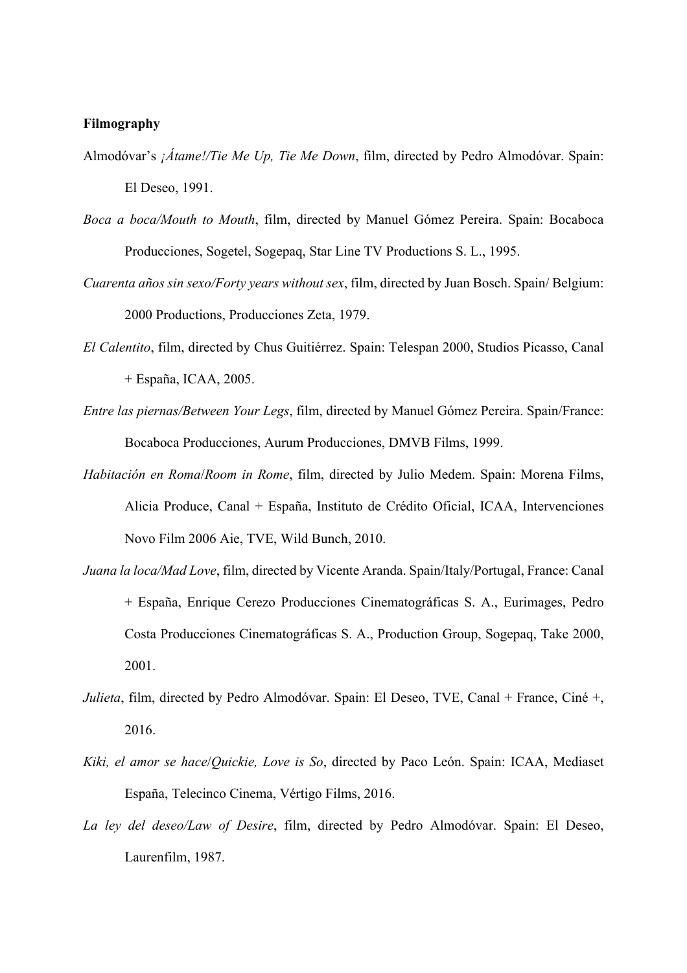#### **Filmography**

- Almodóvar's *¡Átame!/Tie Me Up, Tie Me Down*, film, directed by Pedro Almodóvar. Spain: El Deseo, 1991.
- *Boca a boca/Mouth to Mouth*, film, directed by Manuel Gómez Pereira. Spain: Bocaboca Producciones, Sogetel, Sogepaq, Star Line TV Productions S. L., 1995.
- *Cuarenta años sin sexo/Forty years without sex*, film, directed by Juan Bosch. Spain/ Belgium: 2000 Productions, Producciones Zeta, 1979.
- *El Calentito*, film, directed by Chus Guitiérrez. Spain: Telespan 2000, Studios Picasso, Canal + España, ICAA, 2005.
- *Entre las piernas/Between Your Legs*, film, directed by Manuel Gómez Pereira. Spain/France: Bocaboca Producciones, Aurum Producciones, DMVB Films, 1999.
- *Habitación en Roma*/*Room in Rome*, film, directed by Julio Medem. Spain: Morena Films, Alicia Produce, Canal + España, Instituto de Crédito Oficial, ICAA, Intervenciones Novo Film 2006 Aie, TVE, Wild Bunch, 2010.
- *Juana la loca/Mad Love*, film, directed by Vicente Aranda. Spain/Italy/Portugal, France: Canal + España, Enrique Cerezo Producciones Cinematográficas S. A., Eurimages, Pedro Costa Producciones Cinematográficas S. A., Production Group, Sogepaq, Take 2000, 2001.
- *Julieta*, film, directed by Pedro Almodóvar. Spain: El Deseo, TVE, Canal + France, Ciné +, 2016.
- *Kiki, el amor se hace*/*Quickie, Love is So*, directed by Paco León. Spain: ICAA, Mediaset España, Telecinco Cinema, Vértigo Films, 2016.
- *La ley del deseo/Law of Desire*, film, directed by Pedro Almodóvar. Spain: El Deseo, Laurenfilm, 1987.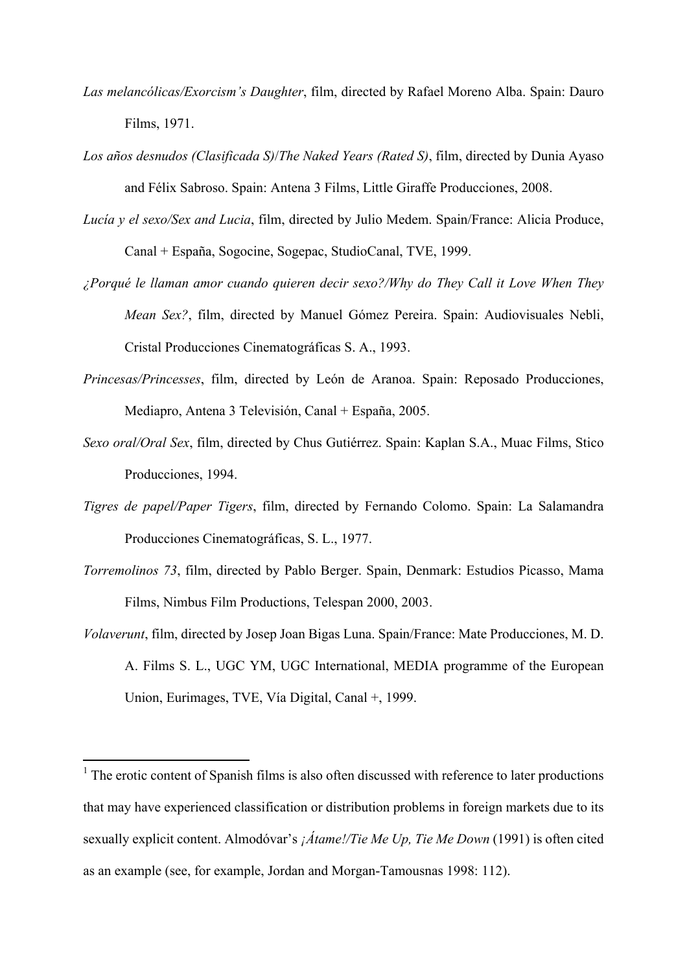- *Las melancólicas/Exorcism's Daughter*, film, directed by Rafael Moreno Alba. Spain: Dauro Films, 1971.
- *Los años desnudos (Clasificada S)*/*The Naked Years (Rated S)*, film, directed by Dunia Ayaso and Félix Sabroso. Spain: Antena 3 Films, Little Giraffe Producciones, 2008.
- *Lucía y el sexo/Sex and Lucia*, film, directed by Julio Medem. Spain/France: Alicia Produce, Canal + España, Sogocine, Sogepac, StudioCanal, TVE, 1999.
- *¿Porqué le llaman amor cuando quieren decir sexo?/Why do They Call it Love When They Mean Sex?*, film, directed by Manuel Gómez Pereira. Spain: Audiovisuales Nebli, Cristal Producciones Cinematográficas S. A., 1993.
- *Princesas/Princesses*, film, directed by León de Aranoa. Spain: Reposado Producciones, Mediapro, Antena 3 Televisión, Canal + España, 2005.
- *Sexo oral/Oral Sex*, film, directed by Chus Gutiérrez. Spain: Kaplan S.A., Muac Films, Stico Producciones, 1994.
- *Tigres de papel/Paper Tigers*, film, directed by Fernando Colomo. Spain: La Salamandra Producciones Cinematográficas, S. L., 1977.
- *Torremolinos 73*, film, directed by Pablo Berger. Spain, Denmark: Estudios Picasso, Mama Films, Nimbus Film Productions, Telespan 2000, 2003.
- *Volaverunt*, film, directed by Josep Joan Bigas Luna. Spain/France: Mate Producciones, M. D. A. Films S. L., UGC YM, UGC International, MEDIA programme of the European Union, Eurimages, TVE, Vía Digital, Canal +, 1999.

 

<sup>&</sup>lt;sup>1</sup> The erotic content of Spanish films is also often discussed with reference to later productions that may have experienced classification or distribution problems in foreign markets due to its sexually explicit content. Almodóvar's *¡Átame!/Tie Me Up, Tie Me Down* (1991) is often cited as an example (see, for example, Jordan and Morgan-Tamousnas 1998: 112).